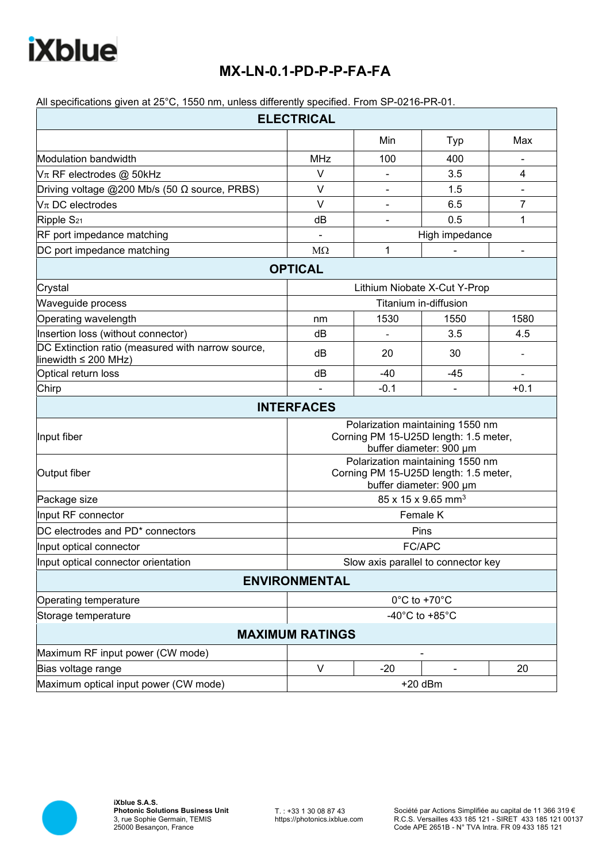## **iXblue**

## **MX-LN-0.1-PD-P-P-FA-FA**

All specifications given at 25°C, 1550 nm, unless differently specified. From SP-0216-PR-01.

| <b>ELECTRICAL</b>                                                              |                                                                                                      |                                |      |                |  |
|--------------------------------------------------------------------------------|------------------------------------------------------------------------------------------------------|--------------------------------|------|----------------|--|
|                                                                                |                                                                                                      | Min                            | Typ  | Max            |  |
| Modulation bandwidth                                                           | <b>MHz</b>                                                                                           | 100                            | 400  |                |  |
| $V_{\pi}$ RF electrodes @ 50kHz                                                | $\vee$                                                                                               | ۰                              | 3.5  | 4              |  |
| Driving voltage @200 Mb/s (50 $\Omega$ source, PRBS)                           | $\vee$                                                                                               | ۰                              | 1.5  |                |  |
| $V\pi$ DC electrodes                                                           | $\vee$                                                                                               | ۰                              | 6.5  | $\overline{7}$ |  |
| Ripple S <sub>21</sub>                                                         | dB                                                                                                   | $\overline{\phantom{0}}$       | 0.5  | 1              |  |
| RF port impedance matching                                                     | ä,                                                                                                   | High impedance                 |      |                |  |
| DC port impedance matching                                                     | $M\Omega$                                                                                            | 1                              |      |                |  |
|                                                                                | <b>OPTICAL</b>                                                                                       |                                |      |                |  |
| Crystal                                                                        | Lithium Niobate X-Cut Y-Prop                                                                         |                                |      |                |  |
| Waveguide process                                                              | Titanium in-diffusion                                                                                |                                |      |                |  |
| Operating wavelength                                                           | nm                                                                                                   | 1530                           | 1550 | 1580           |  |
| Insertion loss (without connector)                                             | dB                                                                                                   |                                | 3.5  | 4.5            |  |
| DC Extinction ratio (measured with narrow source,<br>linewidth $\leq$ 200 MHz) | dB                                                                                                   | 20                             | 30   |                |  |
| Optical return loss                                                            | dB                                                                                                   | $-40$                          | -45  |                |  |
| Chirp                                                                          |                                                                                                      | $-0.1$                         |      | $+0.1$         |  |
|                                                                                | <b>INTERFACES</b>                                                                                    |                                |      |                |  |
| Input fiber                                                                    | Polarization maintaining 1550 nm<br>Corning PM 15-U25D length: 1.5 meter,<br>buffer diameter: 900 µm |                                |      |                |  |
| Output fiber                                                                   | Polarization maintaining 1550 nm<br>Corning PM 15-U25D length: 1.5 meter,<br>buffer diameter: 900 µm |                                |      |                |  |
| Package size                                                                   |                                                                                                      | 85 x 15 x 9.65 mm <sup>3</sup> |      |                |  |
| Input RF connector                                                             | Female K                                                                                             |                                |      |                |  |
| DC electrodes and PD <sup>*</sup> connectors                                   | Pins                                                                                                 |                                |      |                |  |
| Input optical connector                                                        | FC/APC                                                                                               |                                |      |                |  |
| Input optical connector orientation                                            | Slow axis parallel to connector key                                                                  |                                |      |                |  |
|                                                                                | <b>ENVIRONMENTAL</b>                                                                                 |                                |      |                |  |
| Operating temperature                                                          | 0°C to +70°C                                                                                         |                                |      |                |  |
| Storage temperature                                                            | -40 $^{\circ}$ C to +85 $^{\circ}$ C                                                                 |                                |      |                |  |
|                                                                                | <b>MAXIMUM RATINGS</b>                                                                               |                                |      |                |  |
| Maximum RF input power (CW mode)                                               |                                                                                                      |                                |      |                |  |
| Bias voltage range                                                             | $\vee$                                                                                               | $-20$                          |      | 20             |  |
| Maximum optical input power (CW mode)                                          | $+20$ dBm                                                                                            |                                |      |                |  |